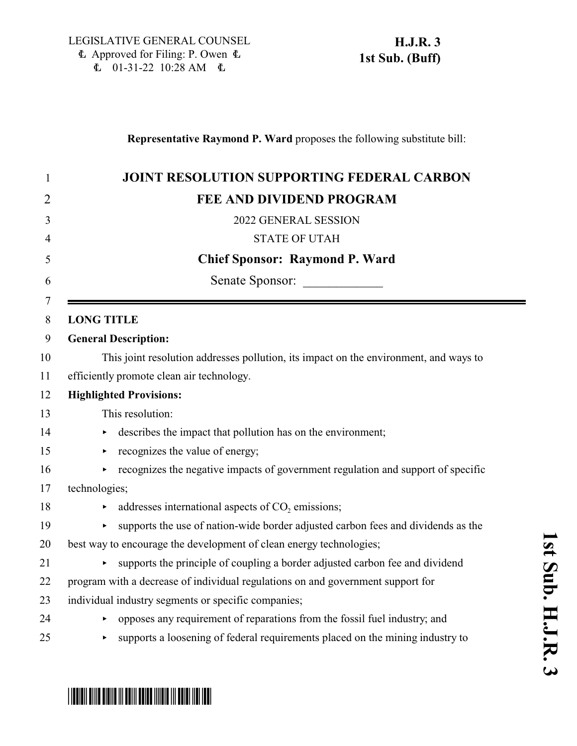| 1                   | <b>JOINT RESOLUTION SUPPORTING FEDERAL CARBON</b>                                                         |
|---------------------|-----------------------------------------------------------------------------------------------------------|
| 2                   | FEE AND DIVIDEND PROGRAM                                                                                  |
| 3                   | 2022 GENERAL SESSION                                                                                      |
| $\overline{4}$      | <b>STATE OF UTAH</b>                                                                                      |
| 5                   | <b>Chief Sponsor: Raymond P. Ward</b>                                                                     |
| 6                   | Senate Sponsor:                                                                                           |
| $\overline{7}$<br>8 | <b>LONG TITLE</b>                                                                                         |
| 9                   | <b>General Description:</b>                                                                               |
| 10                  | This joint resolution addresses pollution, its impact on the environment, and ways to                     |
| 11                  | efficiently promote clean air technology.                                                                 |
| 12                  | <b>Highlighted Provisions:</b>                                                                            |
| 13                  | This resolution:                                                                                          |
| 14                  | describes the impact that pollution has on the environment;<br>$\blacktriangleright$                      |
| 15                  | recognizes the value of energy;<br>٠                                                                      |
| 16                  | recognizes the negative impacts of government regulation and support of specific<br>$\blacktriangleright$ |
| 17                  | technologies;                                                                                             |
| 18                  | addresses international aspects of CO <sub>2</sub> emissions;<br>×                                        |
| 19                  | supports the use of nation-wide border adjusted carbon fees and dividends as the<br>$\blacktriangleright$ |
| 20                  | best way to encourage the development of clean energy technologies;                                       |
| 21                  | supports the principle of coupling a border adjusted carbon fee and dividend                              |
| 22                  | program with a decrease of individual regulations on and government support for                           |
| 23                  | individual industry segments or specific companies;                                                       |
| 24                  | opposes any requirement of reparations from the fossil fuel industry; and<br>×                            |
| 25                  | supports a loosening of federal requirements placed on the mining industry to<br>$\blacktriangleright$    |

# **S u b. H.J.R.** <u>م</u>

**1 s t**

# \*HJR003S01\*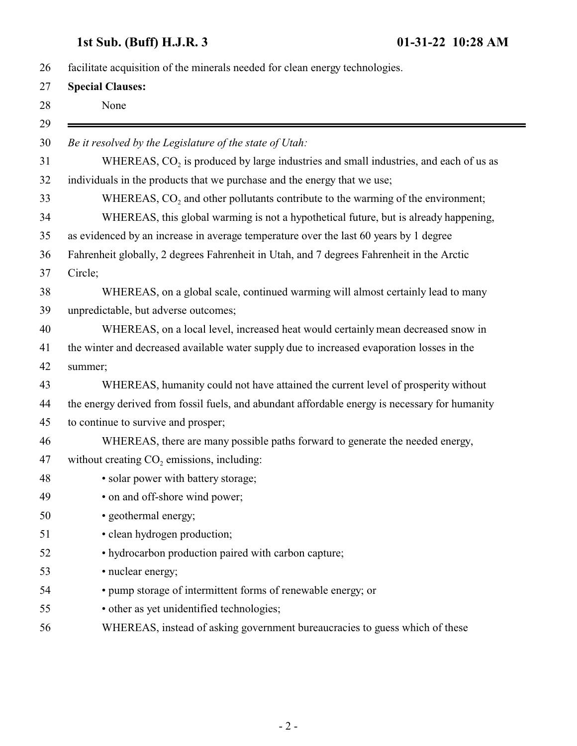## **1st Sub. (Buff) H.J.R. 3 01-31-22 10:28 AM**

| facilitate acquisition of the minerals needed for clean energy technologies. |                                                                                                  |
|------------------------------------------------------------------------------|--------------------------------------------------------------------------------------------------|
| <b>Special Clauses:</b>                                                      |                                                                                                  |
|                                                                              | None                                                                                             |
|                                                                              | Be it resolved by the Legislature of the state of Utah:                                          |
|                                                                              | WHEREAS, CO <sub>2</sub> is produced by large industries and small industries, and each of us as |
|                                                                              | individuals in the products that we purchase and the energy that we use;                         |
|                                                                              | WHEREAS, CO <sub>2</sub> and other pollutants contribute to the warming of the environment;      |
|                                                                              | WHEREAS, this global warming is not a hypothetical future, but is already happening,             |
|                                                                              | as evidenced by an increase in average temperature over the last 60 years by 1 degree            |
|                                                                              | Fahrenheit globally, 2 degrees Fahrenheit in Utah, and 7 degrees Fahrenheit in the Arctic        |
|                                                                              | Circle;                                                                                          |
|                                                                              | WHEREAS, on a global scale, continued warming will almost certainly lead to many                 |
|                                                                              | unpredictable, but adverse outcomes;                                                             |
|                                                                              | WHEREAS, on a local level, increased heat would certainly mean decreased snow in                 |
|                                                                              | the winter and decreased available water supply due to increased evaporation losses in the       |
|                                                                              | summer;                                                                                          |
|                                                                              | WHEREAS, humanity could not have attained the current level of prosperity without                |
|                                                                              | the energy derived from fossil fuels, and abundant affordable energy is necessary for humanity   |
|                                                                              | to continue to survive and prosper;                                                              |
|                                                                              | WHEREAS, there are many possible paths forward to generate the needed energy,                    |
|                                                                              | without creating $CO2$ emissions, including:                                                     |
|                                                                              | · solar power with battery storage;                                                              |
|                                                                              | • on and off-shore wind power;                                                                   |
|                                                                              | · geothermal energy;                                                                             |
|                                                                              | • clean hydrogen production;                                                                     |
|                                                                              | • hydrocarbon production paired with carbon capture;                                             |
|                                                                              | • nuclear energy;                                                                                |
|                                                                              | • pump storage of intermittent forms of renewable energy; or                                     |
|                                                                              | • other as yet unidentified technologies;                                                        |
|                                                                              | WHEREAS, instead of asking government bureaucracies to guess which of these                      |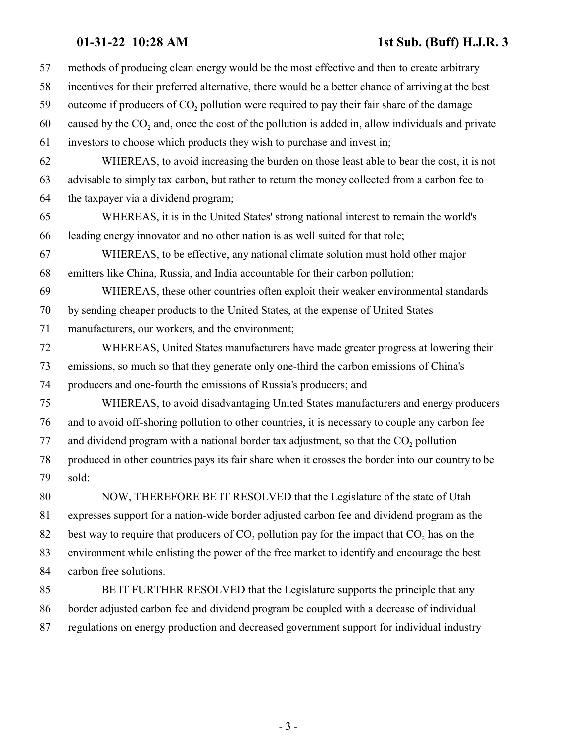### **01-31-22 10:28 AM 1st Sub. (Buff) H.J.R. 3**

| 57 | methods of producing clean energy would be the most effective and then to create arbitrary            |
|----|-------------------------------------------------------------------------------------------------------|
| 58 | incentives for their preferred alternative, there would be a better chance of arriving at the best    |
| 59 | outcome if producers of CO <sub>2</sub> pollution were required to pay their fair share of the damage |
| 60 | caused by the $CO2$ and, once the cost of the pollution is added in, allow individuals and private    |
| 61 | investors to choose which products they wish to purchase and invest in;                               |
| 62 | WHEREAS, to avoid increasing the burden on those least able to bear the cost, it is not               |
| 63 | advisable to simply tax carbon, but rather to return the money collected from a carbon fee to         |
| 64 | the taxpayer via a dividend program;                                                                  |
| 65 | WHEREAS, it is in the United States' strong national interest to remain the world's                   |
| 66 | leading energy innovator and no other nation is as well suited for that role;                         |
| 67 | WHEREAS, to be effective, any national climate solution must hold other major                         |
| 68 | emitters like China, Russia, and India accountable for their carbon pollution;                        |
| 69 | WHEREAS, these other countries often exploit their weaker environmental standards                     |
| 70 | by sending cheaper products to the United States, at the expense of United States                     |
| 71 | manufacturers, our workers, and the environment;                                                      |
| 72 | WHEREAS, United States manufacturers have made greater progress at lowering their                     |
| 73 | emissions, so much so that they generate only one-third the carbon emissions of China's               |
| 74 | producers and one-fourth the emissions of Russia's producers; and                                     |
| 75 | WHEREAS, to avoid disadvantaging United States manufacturers and energy producers                     |
| 76 | and to avoid off-shoring pollution to other countries, it is necessary to couple any carbon fee       |
| 77 | and dividend program with a national border tax adjustment, so that the $CO2$ pollution               |
| 78 | produced in other countries pays its fair share when it crosses the border into our country to be     |
| 79 | sold:                                                                                                 |
| 80 | NOW, THEREFORE BE IT RESOLVED that the Legislature of the state of Utah                               |
| 81 | expresses support for a nation-wide border adjusted carbon fee and dividend program as the            |
| 82 | best way to require that producers of $CO2$ pollution pay for the impact that $CO2$ has on the        |
| 83 | environment while enlisting the power of the free market to identify and encourage the best           |
| 84 | carbon free solutions.                                                                                |
| 85 | BE IT FURTHER RESOLVED that the Legislature supports the principle that any                           |
| 86 | border adjusted carbon fee and dividend program be coupled with a decrease of individual              |
| 87 | regulations on energy production and decreased government support for individual industry             |